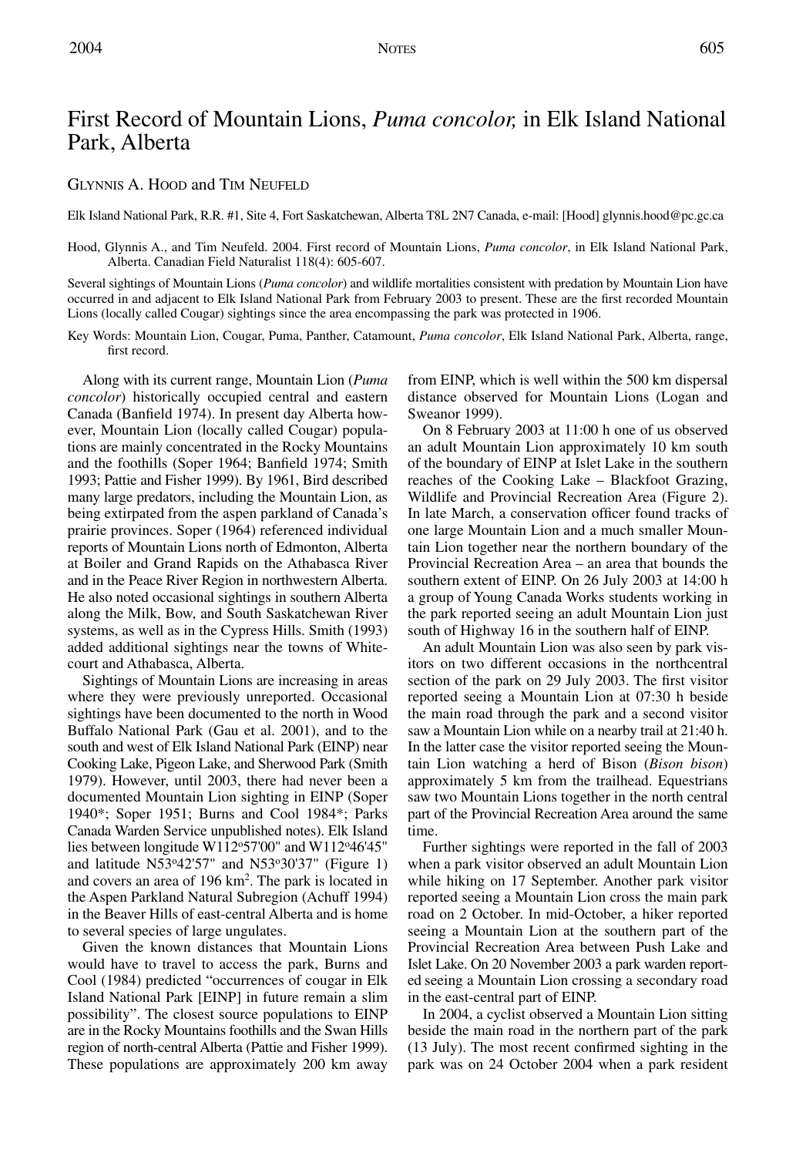# First Record of Mountain Lions, *Puma concolor,* in Elk Island National Park, Alberta

## GLYNNIS A. HOOD and TIM NEUFELD

Elk Island National Park, R.R. #1, Site 4, Fort Saskatchewan, Alberta T8L 2N7 Canada, e-mail: [Hood] glynnis.hood@pc.gc.ca

Hood, Glynnis A., and Tim Neufeld. 2004. First record of Mountain Lions, *Puma concolor*, in Elk Island National Park, Alberta. Canadian Field Naturalist 118(4): 605-607.

Several sightings of Mountain Lions (*Puma concolor*) and wildlife mortalities consistent with predation by Mountain Lion have occurred in and adjacent to Elk Island National Park from February 2003 to present. These are the first recorded Mountain Lions (locally called Cougar) sightings since the area encompassing the park was protected in 1906.

Key Words: Mountain Lion, Cougar, Puma, Panther, Catamount, *Puma concolor*, Elk Island National Park, Alberta, range, first record.

Along with its current range, Mountain Lion (*Puma concolor*) historically occupied central and eastern Canada (Banfield 1974). In present day Alberta however, Mountain Lion (locally called Cougar) populations are mainly concentrated in the Rocky Mountains and the foothills (Soper 1964; Banfield 1974; Smith 1993; Pattie and Fisher 1999). By 1961, Bird described many large predators, including the Mountain Lion, as being extirpated from the aspen parkland of Canada's prairie provinces. Soper (1964) referenced individual reports of Mountain Lions north of Edmonton, Alberta at Boiler and Grand Rapids on the Athabasca River and in the Peace River Region in northwestern Alberta. He also noted occasional sightings in southern Alberta along the Milk, Bow, and South Saskatchewan River systems, as well as in the Cypress Hills. Smith (1993) added additional sightings near the towns of Whitecourt and Athabasca, Alberta.

Sightings of Mountain Lions are increasing in areas where they were previously unreported. Occasional sightings have been documented to the north in Wood Buffalo National Park (Gau et al. 2001), and to the south and west of Elk Island National Park (EINP) near Cooking Lake, Pigeon Lake, and Sherwood Park (Smith 1979). However, until 2003, there had never been a documented Mountain Lion sighting in EINP (Soper 1940\*; Soper 1951; Burns and Cool 1984\*; Parks Canada Warden Service unpublished notes). Elk Island lies between longitude W112°57'00" and W112°46'45" and latitude N53°42'57" and N53°30'37" (Figure 1) and covers an area of 196 km2 . The park is located in the Aspen Parkland Natural Subregion (Achuff 1994) in the Beaver Hills of east-central Alberta and is home to several species of large ungulates.

Given the known distances that Mountain Lions would have to travel to access the park, Burns and Cool (1984) predicted "occurrences of cougar in Elk Island National Park [EINP] in future remain a slim possibility". The closest source populations to EINP are in the Rocky Mountains foothills and the Swan Hills region of north-central Alberta (Pattie and Fisher 1999). These populations are approximately 200 km away from EINP, which is well within the 500 km dispersal distance observed for Mountain Lions (Logan and Sweanor 1999).

On 8 February 2003 at 11:00 h one of us observed an adult Mountain Lion approximately 10 km south of the boundary of EINP at Islet Lake in the southern reaches of the Cooking Lake – Blackfoot Grazing, Wildlife and Provincial Recreation Area (Figure 2). In late March, a conservation officer found tracks of one large Mountain Lion and a much smaller Mountain Lion together near the northern boundary of the Provincial Recreation Area – an area that bounds the southern extent of EINP. On 26 July 2003 at 14:00 h a group of Young Canada Works students working in the park reported seeing an adult Mountain Lion just south of Highway 16 in the southern half of EINP.

An adult Mountain Lion was also seen by park visitors on two different occasions in the northcentral section of the park on 29 July 2003. The first visitor reported seeing a Mountain Lion at 07:30 h beside the main road through the park and a second visitor saw a Mountain Lion while on a nearby trail at 21:40 h. In the latter case the visitor reported seeing the Mountain Lion watching a herd of Bison (*Bison bison*) approximately 5 km from the trailhead. Equestrians saw two Mountain Lions together in the north central part of the Provincial Recreation Area around the same time.

Further sightings were reported in the fall of 2003 when a park visitor observed an adult Mountain Lion while hiking on 17 September. Another park visitor reported seeing a Mountain Lion cross the main park road on 2 October. In mid-October, a hiker reported seeing a Mountain Lion at the southern part of the Provincial Recreation Area between Push Lake and Islet Lake. On 20 November 2003 a park warden reported seeing a Mountain Lion crossing a secondary road in the east-central part of EINP.

In 2004, a cyclist observed a Mountain Lion sitting beside the main road in the northern part of the park (13 July). The most recent confirmed sighting in the park was on 24 October 2004 when a park resident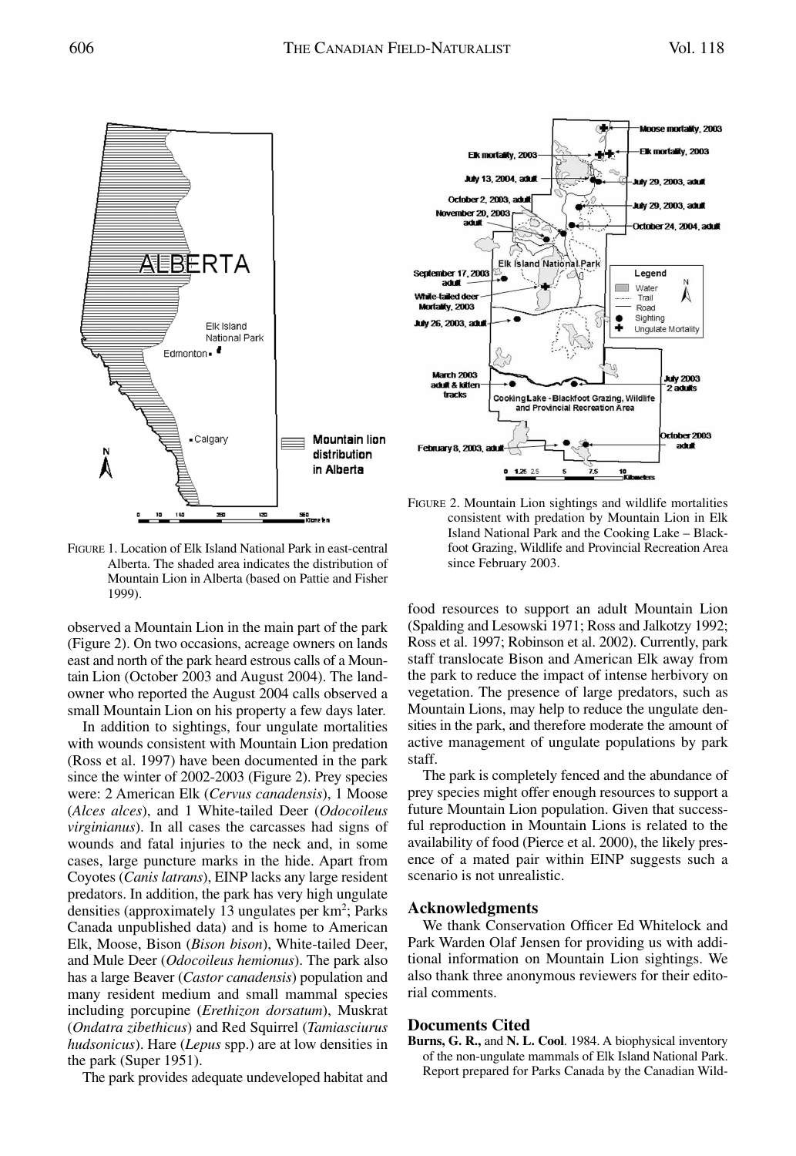

FIGURE 1. Location of Elk Island National Park in east-central Alberta. The shaded area indicates the distribution of Mountain Lion in Alberta (based on Pattie and Fisher 1999).

observed a Mountain Lion in the main part of the park (Figure 2). On two occasions, acreage owners on lands east and north of the park heard estrous calls of a Mountain Lion (October 2003 and August 2004). The landowner who reported the August 2004 calls observed a small Mountain Lion on his property a few days later.

In addition to sightings, four ungulate mortalities with wounds consistent with Mountain Lion predation (Ross et al. 1997) have been documented in the park since the winter of 2002-2003 (Figure 2). Prey species were: 2 American Elk (*Cervus canadensis*), 1 Moose (*Alces alces*), and 1 White-tailed Deer (*Odocoileus virginianus*). In all cases the carcasses had signs of wounds and fatal injuries to the neck and, in some cases, large puncture marks in the hide. Apart from Coyotes (*Canis latrans*), EINP lacks any large resident predators. In addition, the park has very high ungulate densities (approximately 13 ungulates per km<sup>2</sup>; Parks Canada unpublished data) and is home to American Elk, Moose, Bison (*Bison bison*), White-tailed Deer, and Mule Deer (*Odocoileus hemionus*). The park also has a large Beaver (*Castor canadensis*) population and many resident medium and small mammal species including porcupine (*Erethizon dorsatum*), Muskrat (*Ondatra zibethicus*) and Red Squirrel (*Tamiasciurus hudsonicus*). Hare (*Lepus* spp.) are at low densities in the park (Super 1951).

The park provides adequate undeveloped habitat and



FIGURE 2. Mountain Lion sightings and wildlife mortalities consistent with predation by Mountain Lion in Elk Island National Park and the Cooking Lake – Blackfoot Grazing, Wildlife and Provincial Recreation Area since February 2003.

food resources to support an adult Mountain Lion (Spalding and Lesowski 1971; Ross and Jalkotzy 1992; Ross et al. 1997; Robinson et al. 2002). Currently, park staff translocate Bison and American Elk away from the park to reduce the impact of intense herbivory on vegetation. The presence of large predators, such as Mountain Lions, may help to reduce the ungulate densities in the park, and therefore moderate the amount of active management of ungulate populations by park staff.

The park is completely fenced and the abundance of prey species might offer enough resources to support a future Mountain Lion population. Given that successful reproduction in Mountain Lions is related to the availability of food (Pierce et al. 2000), the likely presence of a mated pair within EINP suggests such a scenario is not unrealistic.

#### **Acknowledgments**

We thank Conservation Officer Ed Whitelock and Park Warden Olaf Jensen for providing us with additional information on Mountain Lion sightings. We also thank three anonymous reviewers for their editorial comments.

#### **Documents Cited**

**Burns, G. R.,** and **N. L. Cool**. 1984. A biophysical inventory of the non-ungulate mammals of Elk Island National Park. Report prepared for Parks Canada by the Canadian Wild